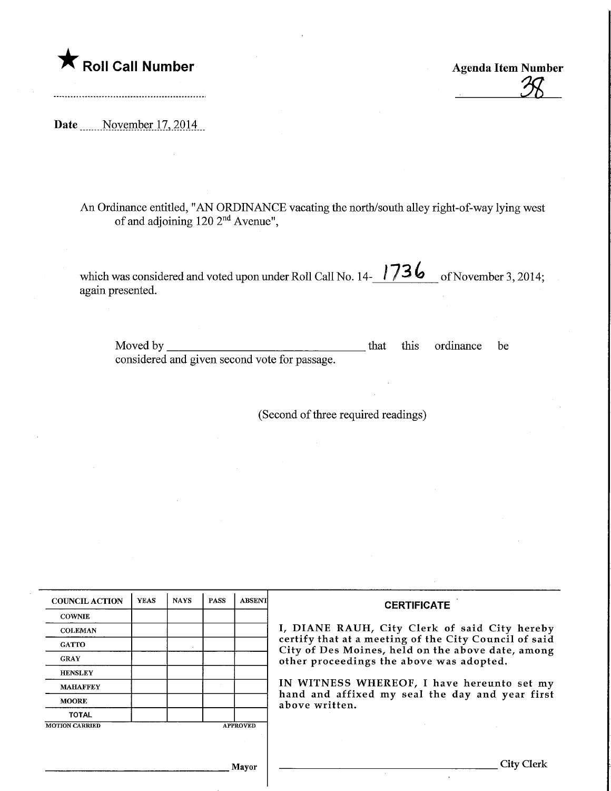**The Roll Call Number Agents Contained Agents Agents Item Number** 

 $\frac{1}{28}$ 

Date November 17, 2014

An Ordinance entitled, "AN ORDINANCE vacating the north/south alley right-of-way lying west of and adjoining 120 2nd Avenue",

which was considered and voted upon under Roll Call No.  $14 - 1736$  of November 3, 2014; again presented.

Moved by considered and given second vote for passage. that this ordinance be

(Second of three required readings)

| <b>COUNCIL ACTION</b> | <b>YEAS</b> | <b>NAYS</b> | <b>PASS</b> | <b>ABSENT</b>   | <b>CERTIFICATE</b>                                                                                                                                                                                      |  |
|-----------------------|-------------|-------------|-------------|-----------------|---------------------------------------------------------------------------------------------------------------------------------------------------------------------------------------------------------|--|
| <b>COWNIE</b>         |             |             |             |                 |                                                                                                                                                                                                         |  |
| <b>COLEMAN</b>        |             |             |             |                 | I, DIANE RAUH, City Clerk of said City hereby<br>certify that at a meeting of the City Council of said<br>City of Des Moines, held on the above date, among<br>other proceedings the above was adopted. |  |
| <b>GATTO</b>          |             |             |             |                 |                                                                                                                                                                                                         |  |
| <b>GRAY</b>           |             |             |             |                 |                                                                                                                                                                                                         |  |
| <b>HENSLEY</b>        |             |             |             |                 |                                                                                                                                                                                                         |  |
| <b>MAHAFFEY</b>       |             |             |             |                 | IN WITNESS WHEREOF, I have hereunto set my<br>hand and affixed my seal the day and year first<br>above written.                                                                                         |  |
| <b>MOORE</b>          |             |             |             |                 |                                                                                                                                                                                                         |  |
| <b>TOTAL</b>          |             |             |             |                 |                                                                                                                                                                                                         |  |
| <b>MOTION CARRIED</b> |             |             |             | <b>APPROVED</b> |                                                                                                                                                                                                         |  |
|                       |             |             |             |                 |                                                                                                                                                                                                         |  |
|                       |             |             |             | Mayor           | <b>City Clerk</b>                                                                                                                                                                                       |  |